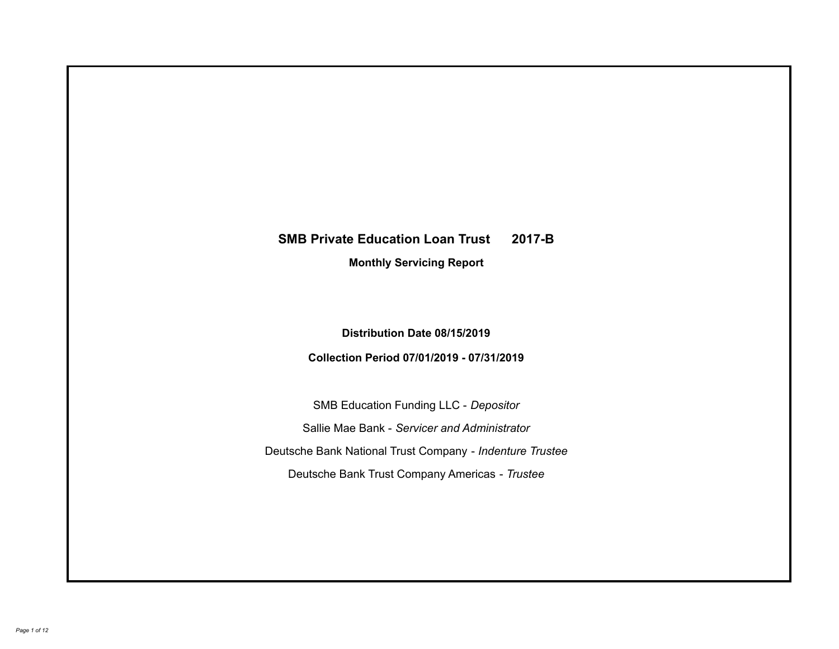# **SMB Private Education Loan Trust 2017-B Monthly Servicing Report**

## **Distribution Date 08/15/2019**

## **Collection Period 07/01/2019 - 07/31/2019**

SMB Education Funding LLC - *Depositor* Sallie Mae Bank - *Servicer and Administrator* Deutsche Bank National Trust Company - *Indenture Trustee* Deutsche Bank Trust Company Americas - *Trustee*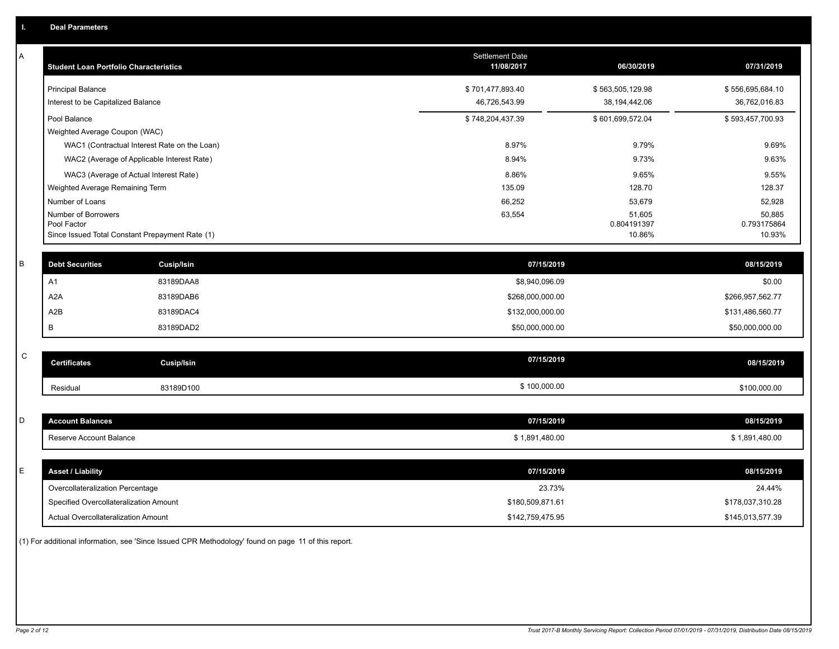| 07/31/2019            |
|-----------------------|
| \$556,695,684.10      |
| 36,762,016.83         |
| \$593,457,700.93      |
|                       |
| 9.69%                 |
| 9.63%                 |
| 9.55%                 |
| 128.37                |
| 52,928                |
| 50,885                |
| 0.793175864<br>10.93% |
|                       |
| 08/15/2019            |
| \$0.00                |
| \$266,957,562.77      |
| \$131,486,560.77      |
| \$50,000,000.00       |
|                       |
| 08/15/2019            |
| \$100,000.00          |
|                       |
| 08/15/2019            |
| \$1,891,480.00        |
|                       |
| 08/15/2019            |
| 24.44%                |
| \$178,037,310.28      |
| \$145,013,577.39      |
|                       |

(1) For additional information, see 'Since Issued CPR Methodology' found on page 11 of this report.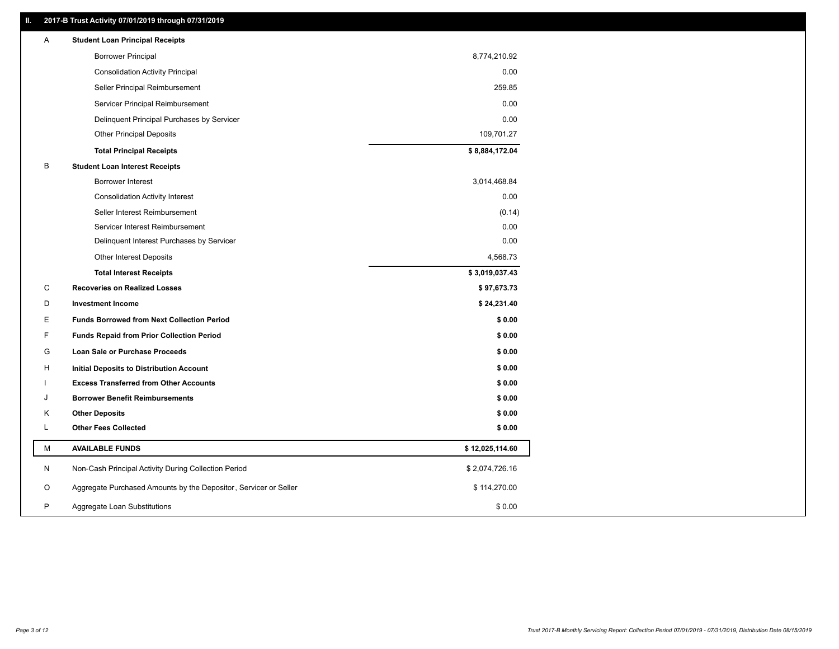### **II. 2017-B Trust Activity 07/01/2019 through 07/31/2019**

| <b>Borrower Principal</b><br>8,774,210.92<br>0.00<br><b>Consolidation Activity Principal</b><br>259.85<br>Seller Principal Reimbursement<br>Servicer Principal Reimbursement<br>0.00<br>0.00<br>Delinquent Principal Purchases by Servicer<br>109,701.27<br><b>Other Principal Deposits</b><br>\$8,884,172.04<br><b>Total Principal Receipts</b><br>В<br><b>Student Loan Interest Receipts</b><br><b>Borrower Interest</b><br>3,014,468.84<br>0.00<br><b>Consolidation Activity Interest</b><br>Seller Interest Reimbursement<br>(0.14)<br>0.00<br>Servicer Interest Reimbursement<br>Delinquent Interest Purchases by Servicer<br>0.00<br>Other Interest Deposits<br>4,568.73<br><b>Total Interest Receipts</b><br>\$3,019,037.43<br>C<br><b>Recoveries on Realized Losses</b><br>\$97,673.73<br>D<br><b>Investment Income</b><br>\$24,231.40<br>Ε<br><b>Funds Borrowed from Next Collection Period</b><br>\$0.00<br>F<br>\$0.00<br><b>Funds Repaid from Prior Collection Period</b><br>G<br>\$0.00<br>Loan Sale or Purchase Proceeds<br>\$0.00<br>н<br>Initial Deposits to Distribution Account<br>\$0.00<br><b>Excess Transferred from Other Accounts</b><br>J<br><b>Borrower Benefit Reimbursements</b><br>\$0.00<br>Κ<br><b>Other Deposits</b><br>\$0.00<br>L<br><b>Other Fees Collected</b><br>\$0.00<br>М<br><b>AVAILABLE FUNDS</b><br>\$12,025,114.60<br>N<br>Non-Cash Principal Activity During Collection Period<br>\$2,074,726.16<br>Aggregate Purchased Amounts by the Depositor, Servicer or Seller<br>O<br>\$114,270.00<br>P<br>\$0.00 | A | <b>Student Loan Principal Receipts</b> |  |
|------------------------------------------------------------------------------------------------------------------------------------------------------------------------------------------------------------------------------------------------------------------------------------------------------------------------------------------------------------------------------------------------------------------------------------------------------------------------------------------------------------------------------------------------------------------------------------------------------------------------------------------------------------------------------------------------------------------------------------------------------------------------------------------------------------------------------------------------------------------------------------------------------------------------------------------------------------------------------------------------------------------------------------------------------------------------------------------------------------------------------------------------------------------------------------------------------------------------------------------------------------------------------------------------------------------------------------------------------------------------------------------------------------------------------------------------------------------------------------------------------------------------------------------------------|---|----------------------------------------|--|
|                                                                                                                                                                                                                                                                                                                                                                                                                                                                                                                                                                                                                                                                                                                                                                                                                                                                                                                                                                                                                                                                                                                                                                                                                                                                                                                                                                                                                                                                                                                                                      |   |                                        |  |
|                                                                                                                                                                                                                                                                                                                                                                                                                                                                                                                                                                                                                                                                                                                                                                                                                                                                                                                                                                                                                                                                                                                                                                                                                                                                                                                                                                                                                                                                                                                                                      |   |                                        |  |
|                                                                                                                                                                                                                                                                                                                                                                                                                                                                                                                                                                                                                                                                                                                                                                                                                                                                                                                                                                                                                                                                                                                                                                                                                                                                                                                                                                                                                                                                                                                                                      |   |                                        |  |
|                                                                                                                                                                                                                                                                                                                                                                                                                                                                                                                                                                                                                                                                                                                                                                                                                                                                                                                                                                                                                                                                                                                                                                                                                                                                                                                                                                                                                                                                                                                                                      |   |                                        |  |
|                                                                                                                                                                                                                                                                                                                                                                                                                                                                                                                                                                                                                                                                                                                                                                                                                                                                                                                                                                                                                                                                                                                                                                                                                                                                                                                                                                                                                                                                                                                                                      |   |                                        |  |
|                                                                                                                                                                                                                                                                                                                                                                                                                                                                                                                                                                                                                                                                                                                                                                                                                                                                                                                                                                                                                                                                                                                                                                                                                                                                                                                                                                                                                                                                                                                                                      |   |                                        |  |
|                                                                                                                                                                                                                                                                                                                                                                                                                                                                                                                                                                                                                                                                                                                                                                                                                                                                                                                                                                                                                                                                                                                                                                                                                                                                                                                                                                                                                                                                                                                                                      |   |                                        |  |
|                                                                                                                                                                                                                                                                                                                                                                                                                                                                                                                                                                                                                                                                                                                                                                                                                                                                                                                                                                                                                                                                                                                                                                                                                                                                                                                                                                                                                                                                                                                                                      |   |                                        |  |
|                                                                                                                                                                                                                                                                                                                                                                                                                                                                                                                                                                                                                                                                                                                                                                                                                                                                                                                                                                                                                                                                                                                                                                                                                                                                                                                                                                                                                                                                                                                                                      |   |                                        |  |
|                                                                                                                                                                                                                                                                                                                                                                                                                                                                                                                                                                                                                                                                                                                                                                                                                                                                                                                                                                                                                                                                                                                                                                                                                                                                                                                                                                                                                                                                                                                                                      |   |                                        |  |
|                                                                                                                                                                                                                                                                                                                                                                                                                                                                                                                                                                                                                                                                                                                                                                                                                                                                                                                                                                                                                                                                                                                                                                                                                                                                                                                                                                                                                                                                                                                                                      |   |                                        |  |
|                                                                                                                                                                                                                                                                                                                                                                                                                                                                                                                                                                                                                                                                                                                                                                                                                                                                                                                                                                                                                                                                                                                                                                                                                                                                                                                                                                                                                                                                                                                                                      |   |                                        |  |
|                                                                                                                                                                                                                                                                                                                                                                                                                                                                                                                                                                                                                                                                                                                                                                                                                                                                                                                                                                                                                                                                                                                                                                                                                                                                                                                                                                                                                                                                                                                                                      |   |                                        |  |
|                                                                                                                                                                                                                                                                                                                                                                                                                                                                                                                                                                                                                                                                                                                                                                                                                                                                                                                                                                                                                                                                                                                                                                                                                                                                                                                                                                                                                                                                                                                                                      |   |                                        |  |
|                                                                                                                                                                                                                                                                                                                                                                                                                                                                                                                                                                                                                                                                                                                                                                                                                                                                                                                                                                                                                                                                                                                                                                                                                                                                                                                                                                                                                                                                                                                                                      |   |                                        |  |
|                                                                                                                                                                                                                                                                                                                                                                                                                                                                                                                                                                                                                                                                                                                                                                                                                                                                                                                                                                                                                                                                                                                                                                                                                                                                                                                                                                                                                                                                                                                                                      |   |                                        |  |
|                                                                                                                                                                                                                                                                                                                                                                                                                                                                                                                                                                                                                                                                                                                                                                                                                                                                                                                                                                                                                                                                                                                                                                                                                                                                                                                                                                                                                                                                                                                                                      |   |                                        |  |
|                                                                                                                                                                                                                                                                                                                                                                                                                                                                                                                                                                                                                                                                                                                                                                                                                                                                                                                                                                                                                                                                                                                                                                                                                                                                                                                                                                                                                                                                                                                                                      |   |                                        |  |
|                                                                                                                                                                                                                                                                                                                                                                                                                                                                                                                                                                                                                                                                                                                                                                                                                                                                                                                                                                                                                                                                                                                                                                                                                                                                                                                                                                                                                                                                                                                                                      |   |                                        |  |
|                                                                                                                                                                                                                                                                                                                                                                                                                                                                                                                                                                                                                                                                                                                                                                                                                                                                                                                                                                                                                                                                                                                                                                                                                                                                                                                                                                                                                                                                                                                                                      |   |                                        |  |
|                                                                                                                                                                                                                                                                                                                                                                                                                                                                                                                                                                                                                                                                                                                                                                                                                                                                                                                                                                                                                                                                                                                                                                                                                                                                                                                                                                                                                                                                                                                                                      |   |                                        |  |
|                                                                                                                                                                                                                                                                                                                                                                                                                                                                                                                                                                                                                                                                                                                                                                                                                                                                                                                                                                                                                                                                                                                                                                                                                                                                                                                                                                                                                                                                                                                                                      |   |                                        |  |
|                                                                                                                                                                                                                                                                                                                                                                                                                                                                                                                                                                                                                                                                                                                                                                                                                                                                                                                                                                                                                                                                                                                                                                                                                                                                                                                                                                                                                                                                                                                                                      |   |                                        |  |
|                                                                                                                                                                                                                                                                                                                                                                                                                                                                                                                                                                                                                                                                                                                                                                                                                                                                                                                                                                                                                                                                                                                                                                                                                                                                                                                                                                                                                                                                                                                                                      |   |                                        |  |
|                                                                                                                                                                                                                                                                                                                                                                                                                                                                                                                                                                                                                                                                                                                                                                                                                                                                                                                                                                                                                                                                                                                                                                                                                                                                                                                                                                                                                                                                                                                                                      |   |                                        |  |
|                                                                                                                                                                                                                                                                                                                                                                                                                                                                                                                                                                                                                                                                                                                                                                                                                                                                                                                                                                                                                                                                                                                                                                                                                                                                                                                                                                                                                                                                                                                                                      |   |                                        |  |
|                                                                                                                                                                                                                                                                                                                                                                                                                                                                                                                                                                                                                                                                                                                                                                                                                                                                                                                                                                                                                                                                                                                                                                                                                                                                                                                                                                                                                                                                                                                                                      |   |                                        |  |
|                                                                                                                                                                                                                                                                                                                                                                                                                                                                                                                                                                                                                                                                                                                                                                                                                                                                                                                                                                                                                                                                                                                                                                                                                                                                                                                                                                                                                                                                                                                                                      |   |                                        |  |
|                                                                                                                                                                                                                                                                                                                                                                                                                                                                                                                                                                                                                                                                                                                                                                                                                                                                                                                                                                                                                                                                                                                                                                                                                                                                                                                                                                                                                                                                                                                                                      |   | Aggregate Loan Substitutions           |  |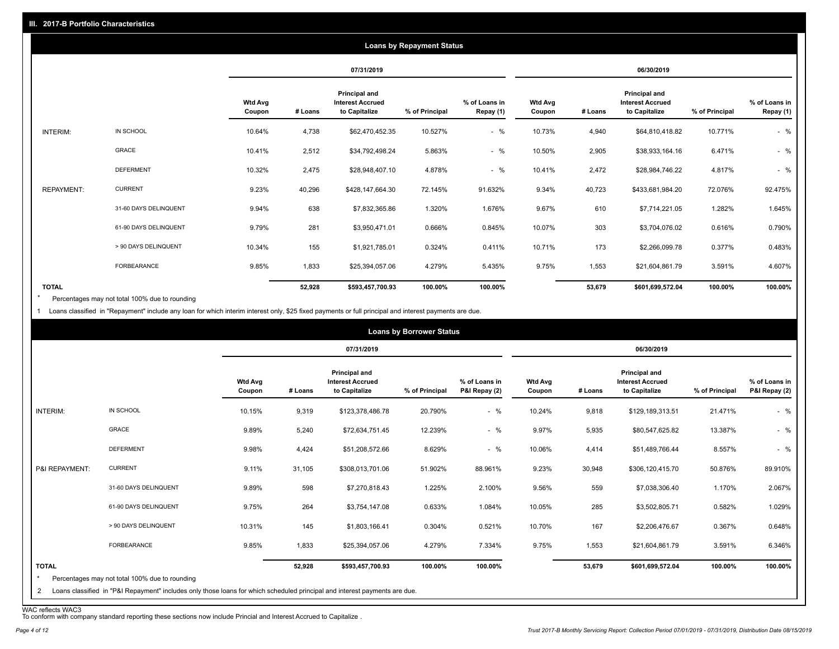|                   |                       |                          |         |                                                           | <b>Loans by Repayment Status</b> |                            |                          |         |                                                           |                |                            |
|-------------------|-----------------------|--------------------------|---------|-----------------------------------------------------------|----------------------------------|----------------------------|--------------------------|---------|-----------------------------------------------------------|----------------|----------------------------|
|                   |                       |                          |         | 07/31/2019                                                |                                  |                            |                          |         | 06/30/2019                                                |                |                            |
|                   |                       | <b>Wtd Avg</b><br>Coupon | # Loans | Principal and<br><b>Interest Accrued</b><br>to Capitalize | % of Principal                   | % of Loans in<br>Repay (1) | <b>Wtd Avg</b><br>Coupon | # Loans | Principal and<br><b>Interest Accrued</b><br>to Capitalize | % of Principal | % of Loans in<br>Repay (1) |
| INTERIM:          | IN SCHOOL             | 10.64%                   | 4,738   | \$62,470,452.35                                           | 10.527%                          | $-$ %                      | 10.73%                   | 4,940   | \$64,810,418.82                                           | 10.771%        | $-$ %                      |
|                   | <b>GRACE</b>          | 10.41%                   | 2,512   | \$34,792,498.24                                           | 5.863%                           | $-$ %                      | 10.50%                   | 2,905   | \$38,933,164.16                                           | 6.471%         | $-$ %                      |
|                   | <b>DEFERMENT</b>      | 10.32%                   | 2,475   | \$28,948,407.10                                           | 4.878%                           | $-$ %                      | 10.41%                   | 2,472   | \$28,984,746.22                                           | 4.817%         | $-$ %                      |
| <b>REPAYMENT:</b> | <b>CURRENT</b>        | 9.23%                    | 40,296  | \$428,147,664.30                                          | 72.145%                          | 91.632%                    | 9.34%                    | 40,723  | \$433,681,984.20                                          | 72.076%        | 92.475%                    |
|                   | 31-60 DAYS DELINQUENT | 9.94%                    | 638     | \$7,832,365.86                                            | 1.320%                           | 1.676%                     | 9.67%                    | 610     | \$7,714,221.05                                            | 1.282%         | 1.645%                     |
|                   | 61-90 DAYS DELINQUENT | 9.79%                    | 281     | \$3,950,471.01                                            | 0.666%                           | 0.845%                     | 10.07%                   | 303     | \$3,704,076.02                                            | 0.616%         | 0.790%                     |
|                   | > 90 DAYS DELINQUENT  | 10.34%                   | 155     | \$1,921,785.01                                            | 0.324%                           | 0.411%                     | 10.71%                   | 173     | \$2,266,099.78                                            | 0.377%         | 0.483%                     |
|                   | FORBEARANCE           | 9.85%                    | 1,833   | \$25,394,057.06                                           | 4.279%                           | 5.435%                     | 9.75%                    | 1,553   | \$21,604,861.79                                           | 3.591%         | 4.607%                     |
| <b>TOTAL</b>      |                       |                          | 52,928  | \$593,457,700.93                                          | 100.00%                          | 100.00%                    |                          | 53,679  | \$601,699,572.04                                          | 100.00%        | 100.00%                    |

Percentages may not total 100% due to rounding \*

1 Loans classified in "Repayment" include any loan for which interim interest only, \$25 fixed payments or full principal and interest payments are due.

|                              |                                                                                                                                                                              |                          |         |                                                           | <b>Loans by Borrower Status</b> |                                |                          |         |                                                           |                |                                |
|------------------------------|------------------------------------------------------------------------------------------------------------------------------------------------------------------------------|--------------------------|---------|-----------------------------------------------------------|---------------------------------|--------------------------------|--------------------------|---------|-----------------------------------------------------------|----------------|--------------------------------|
|                              |                                                                                                                                                                              |                          |         | 07/31/2019                                                |                                 |                                |                          |         | 06/30/2019                                                |                |                                |
|                              |                                                                                                                                                                              | <b>Wtd Avg</b><br>Coupon | # Loans | Principal and<br><b>Interest Accrued</b><br>to Capitalize | % of Principal                  | % of Loans in<br>P&I Repay (2) | <b>Wtd Avg</b><br>Coupon | # Loans | Principal and<br><b>Interest Accrued</b><br>to Capitalize | % of Principal | % of Loans in<br>P&I Repay (2) |
| INTERIM:                     | IN SCHOOL                                                                                                                                                                    | 10.15%                   | 9,319   | \$123,378,486.78                                          | 20.790%                         | $-$ %                          | 10.24%                   | 9,818   | \$129,189,313.51                                          | 21.471%        | $-$ %                          |
|                              | GRACE                                                                                                                                                                        | 9.89%                    | 5,240   | \$72,634,751.45                                           | 12.239%                         | $-$ %                          | 9.97%                    | 5,935   | \$80,547,625.82                                           | 13.387%        | $-$ %                          |
|                              | <b>DEFERMENT</b>                                                                                                                                                             | 9.98%                    | 4,424   | \$51,208,572.66                                           | 8.629%                          | $-$ %                          | 10.06%                   | 4,414   | \$51,489,766.44                                           | 8.557%         | $-$ %                          |
| P&I REPAYMENT:               | <b>CURRENT</b>                                                                                                                                                               | 9.11%                    | 31,105  | \$308,013,701.06                                          | 51.902%                         | 88.961%                        | 9.23%                    | 30,948  | \$306,120,415.70                                          | 50.876%        | 89.910%                        |
|                              | 31-60 DAYS DELINQUENT                                                                                                                                                        | 9.89%                    | 598     | \$7,270,818.43                                            | 1.225%                          | 2.100%                         | 9.56%                    | 559     | \$7,038,306.40                                            | 1.170%         | 2.067%                         |
|                              | 61-90 DAYS DELINQUENT                                                                                                                                                        | 9.75%                    | 264     | \$3,754,147.08                                            | 0.633%                          | 1.084%                         | 10.05%                   | 285     | \$3,502,805.71                                            | 0.582%         | 1.029%                         |
|                              | > 90 DAYS DELINQUENT                                                                                                                                                         | 10.31%                   | 145     | \$1,803,166.41                                            | 0.304%                          | 0.521%                         | 10.70%                   | 167     | \$2,206,476.67                                            | 0.367%         | 0.648%                         |
|                              | <b>FORBEARANCE</b>                                                                                                                                                           | 9.85%                    | 1,833   | \$25,394,057.06                                           | 4.279%                          | 7.334%                         | 9.75%                    | 1,553   | \$21,604,861.79                                           | 3.591%         | 6.346%                         |
| <b>TOTAL</b><br>$\star$<br>2 | Percentages may not total 100% due to rounding<br>Loans classified in "P&I Repayment" includes only those loans for which scheduled principal and interest payments are due. |                          | 52,928  | \$593,457,700.93                                          | 100.00%                         | 100.00%                        |                          | 53,679  | \$601,699,572.04                                          | 100.00%        | 100.00%                        |

WAC reflects WAC3 To conform with company standard reporting these sections now include Princial and Interest Accrued to Capitalize .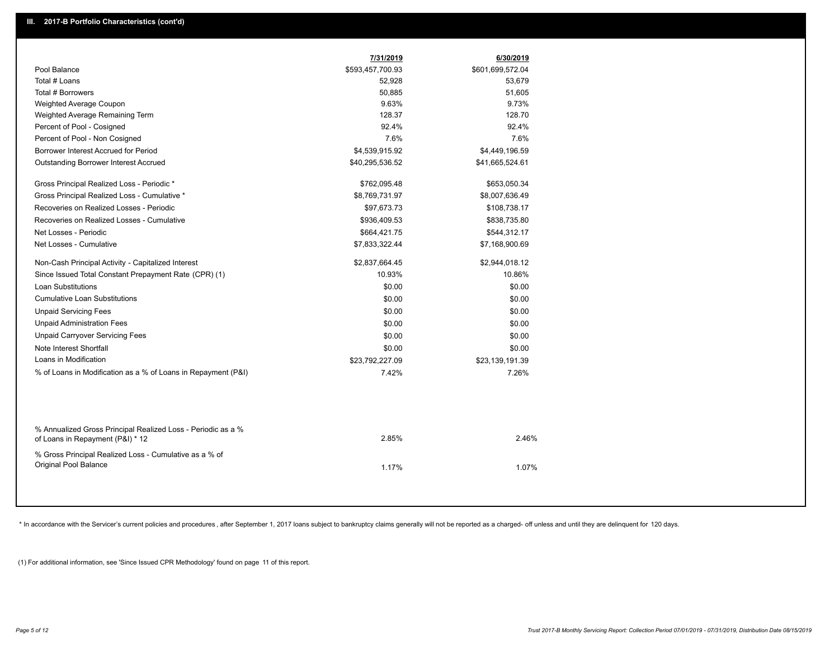| Pool Balance<br>\$593,457,700.93<br>Total # Loans<br>52,928<br>Total # Borrowers<br>50,885<br>Weighted Average Coupon<br>9.63%<br>128.37<br>Weighted Average Remaining Term<br>Percent of Pool - Cosigned<br>92.4%<br>Percent of Pool - Non Cosigned<br>7.6%<br>Borrower Interest Accrued for Period<br>\$4,539,915.92<br>Outstanding Borrower Interest Accrued<br>\$40,295,536.52<br>Gross Principal Realized Loss - Periodic *<br>\$762,095.48<br>Gross Principal Realized Loss - Cumulative *<br>\$8,769,731.97<br>Recoveries on Realized Losses - Periodic<br>\$97,673.73<br>Recoveries on Realized Losses - Cumulative<br>\$936,409.53<br>Net Losses - Periodic<br>\$664,421.75<br>Net Losses - Cumulative<br>\$7,833,322.44<br>Non-Cash Principal Activity - Capitalized Interest<br>\$2,837,664.45<br>Since Issued Total Constant Prepayment Rate (CPR) (1)<br>10.93%<br><b>Loan Substitutions</b><br>\$0.00<br><b>Cumulative Loan Substitutions</b><br>\$0.00<br><b>Unpaid Servicing Fees</b><br>\$0.00<br><b>Unpaid Administration Fees</b><br>\$0.00<br><b>Unpaid Carryover Servicing Fees</b><br>\$0.00<br>Note Interest Shortfall<br>\$0.00<br>Loans in Modification<br>\$23,792,227.09<br>% of Loans in Modification as a % of Loans in Repayment (P&I)<br>7.42%<br>% Annualized Gross Principal Realized Loss - Periodic as a %<br>2.85%<br>of Loans in Repayment (P&I) * 12 | 6/30/2019        |  |
|--------------------------------------------------------------------------------------------------------------------------------------------------------------------------------------------------------------------------------------------------------------------------------------------------------------------------------------------------------------------------------------------------------------------------------------------------------------------------------------------------------------------------------------------------------------------------------------------------------------------------------------------------------------------------------------------------------------------------------------------------------------------------------------------------------------------------------------------------------------------------------------------------------------------------------------------------------------------------------------------------------------------------------------------------------------------------------------------------------------------------------------------------------------------------------------------------------------------------------------------------------------------------------------------------------------------------------------------------------------------------------------------|------------------|--|
|                                                                                                                                                                                                                                                                                                                                                                                                                                                                                                                                                                                                                                                                                                                                                                                                                                                                                                                                                                                                                                                                                                                                                                                                                                                                                                                                                                                            | \$601,699,572.04 |  |
|                                                                                                                                                                                                                                                                                                                                                                                                                                                                                                                                                                                                                                                                                                                                                                                                                                                                                                                                                                                                                                                                                                                                                                                                                                                                                                                                                                                            | 53,679           |  |
|                                                                                                                                                                                                                                                                                                                                                                                                                                                                                                                                                                                                                                                                                                                                                                                                                                                                                                                                                                                                                                                                                                                                                                                                                                                                                                                                                                                            | 51,605           |  |
|                                                                                                                                                                                                                                                                                                                                                                                                                                                                                                                                                                                                                                                                                                                                                                                                                                                                                                                                                                                                                                                                                                                                                                                                                                                                                                                                                                                            | 9.73%            |  |
|                                                                                                                                                                                                                                                                                                                                                                                                                                                                                                                                                                                                                                                                                                                                                                                                                                                                                                                                                                                                                                                                                                                                                                                                                                                                                                                                                                                            | 128.70           |  |
|                                                                                                                                                                                                                                                                                                                                                                                                                                                                                                                                                                                                                                                                                                                                                                                                                                                                                                                                                                                                                                                                                                                                                                                                                                                                                                                                                                                            | 92.4%            |  |
|                                                                                                                                                                                                                                                                                                                                                                                                                                                                                                                                                                                                                                                                                                                                                                                                                                                                                                                                                                                                                                                                                                                                                                                                                                                                                                                                                                                            | 7.6%             |  |
|                                                                                                                                                                                                                                                                                                                                                                                                                                                                                                                                                                                                                                                                                                                                                                                                                                                                                                                                                                                                                                                                                                                                                                                                                                                                                                                                                                                            | \$4,449,196.59   |  |
|                                                                                                                                                                                                                                                                                                                                                                                                                                                                                                                                                                                                                                                                                                                                                                                                                                                                                                                                                                                                                                                                                                                                                                                                                                                                                                                                                                                            | \$41,665,524.61  |  |
|                                                                                                                                                                                                                                                                                                                                                                                                                                                                                                                                                                                                                                                                                                                                                                                                                                                                                                                                                                                                                                                                                                                                                                                                                                                                                                                                                                                            | \$653,050.34     |  |
|                                                                                                                                                                                                                                                                                                                                                                                                                                                                                                                                                                                                                                                                                                                                                                                                                                                                                                                                                                                                                                                                                                                                                                                                                                                                                                                                                                                            | \$8,007,636.49   |  |
|                                                                                                                                                                                                                                                                                                                                                                                                                                                                                                                                                                                                                                                                                                                                                                                                                                                                                                                                                                                                                                                                                                                                                                                                                                                                                                                                                                                            | \$108,738.17     |  |
|                                                                                                                                                                                                                                                                                                                                                                                                                                                                                                                                                                                                                                                                                                                                                                                                                                                                                                                                                                                                                                                                                                                                                                                                                                                                                                                                                                                            | \$838,735.80     |  |
|                                                                                                                                                                                                                                                                                                                                                                                                                                                                                                                                                                                                                                                                                                                                                                                                                                                                                                                                                                                                                                                                                                                                                                                                                                                                                                                                                                                            | \$544,312.17     |  |
|                                                                                                                                                                                                                                                                                                                                                                                                                                                                                                                                                                                                                                                                                                                                                                                                                                                                                                                                                                                                                                                                                                                                                                                                                                                                                                                                                                                            | \$7,168,900.69   |  |
|                                                                                                                                                                                                                                                                                                                                                                                                                                                                                                                                                                                                                                                                                                                                                                                                                                                                                                                                                                                                                                                                                                                                                                                                                                                                                                                                                                                            | \$2,944,018.12   |  |
|                                                                                                                                                                                                                                                                                                                                                                                                                                                                                                                                                                                                                                                                                                                                                                                                                                                                                                                                                                                                                                                                                                                                                                                                                                                                                                                                                                                            | 10.86%           |  |
|                                                                                                                                                                                                                                                                                                                                                                                                                                                                                                                                                                                                                                                                                                                                                                                                                                                                                                                                                                                                                                                                                                                                                                                                                                                                                                                                                                                            | \$0.00           |  |
|                                                                                                                                                                                                                                                                                                                                                                                                                                                                                                                                                                                                                                                                                                                                                                                                                                                                                                                                                                                                                                                                                                                                                                                                                                                                                                                                                                                            | \$0.00           |  |
|                                                                                                                                                                                                                                                                                                                                                                                                                                                                                                                                                                                                                                                                                                                                                                                                                                                                                                                                                                                                                                                                                                                                                                                                                                                                                                                                                                                            | \$0.00           |  |
|                                                                                                                                                                                                                                                                                                                                                                                                                                                                                                                                                                                                                                                                                                                                                                                                                                                                                                                                                                                                                                                                                                                                                                                                                                                                                                                                                                                            | \$0.00           |  |
|                                                                                                                                                                                                                                                                                                                                                                                                                                                                                                                                                                                                                                                                                                                                                                                                                                                                                                                                                                                                                                                                                                                                                                                                                                                                                                                                                                                            | \$0.00           |  |
|                                                                                                                                                                                                                                                                                                                                                                                                                                                                                                                                                                                                                                                                                                                                                                                                                                                                                                                                                                                                                                                                                                                                                                                                                                                                                                                                                                                            | \$0.00           |  |
|                                                                                                                                                                                                                                                                                                                                                                                                                                                                                                                                                                                                                                                                                                                                                                                                                                                                                                                                                                                                                                                                                                                                                                                                                                                                                                                                                                                            | \$23,139,191.39  |  |
|                                                                                                                                                                                                                                                                                                                                                                                                                                                                                                                                                                                                                                                                                                                                                                                                                                                                                                                                                                                                                                                                                                                                                                                                                                                                                                                                                                                            | 7.26%            |  |
|                                                                                                                                                                                                                                                                                                                                                                                                                                                                                                                                                                                                                                                                                                                                                                                                                                                                                                                                                                                                                                                                                                                                                                                                                                                                                                                                                                                            |                  |  |
|                                                                                                                                                                                                                                                                                                                                                                                                                                                                                                                                                                                                                                                                                                                                                                                                                                                                                                                                                                                                                                                                                                                                                                                                                                                                                                                                                                                            | 2.46%            |  |
| % Gross Principal Realized Loss - Cumulative as a % of<br>Original Pool Balance<br>1.17%                                                                                                                                                                                                                                                                                                                                                                                                                                                                                                                                                                                                                                                                                                                                                                                                                                                                                                                                                                                                                                                                                                                                                                                                                                                                                                   | 1.07%            |  |

\* In accordance with the Servicer's current policies and procedures, after September 1, 2017 loans subject to bankruptcy claims generally will not be reported as a charged- off unless and until they are delinquent for 120

(1) For additional information, see 'Since Issued CPR Methodology' found on page 11 of this report.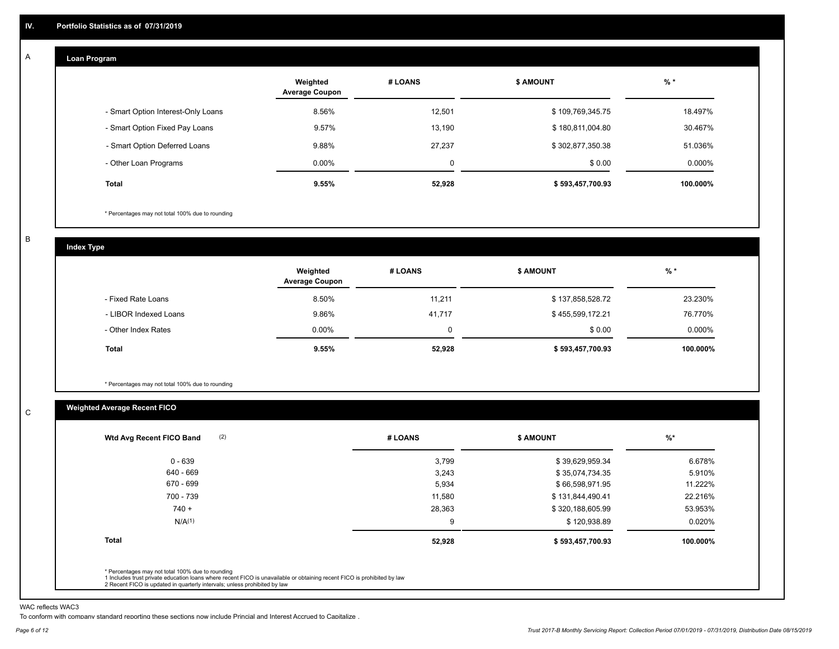#### **Loan Program**  A

|                                    | Weighted<br><b>Average Coupon</b> | # LOANS | <b>\$ AMOUNT</b> | $%$ *    |
|------------------------------------|-----------------------------------|---------|------------------|----------|
| - Smart Option Interest-Only Loans | 8.56%                             | 12,501  | \$109,769,345.75 | 18.497%  |
| - Smart Option Fixed Pay Loans     | 9.57%                             | 13,190  | \$180,811,004.80 | 30.467%  |
| - Smart Option Deferred Loans      | 9.88%                             | 27.237  | \$302,877,350.38 | 51.036%  |
| - Other Loan Programs              | $0.00\%$                          | 0       | \$0.00           | 0.000%   |
| <b>Total</b>                       | 9.55%                             | 52,928  | \$593,457,700.93 | 100.000% |

\* Percentages may not total 100% due to rounding

B

C

**Index Type**

|                       | Weighted<br><b>Average Coupon</b> | # LOANS | <b>S AMOUNT</b>  | $%$ *     |
|-----------------------|-----------------------------------|---------|------------------|-----------|
| - Fixed Rate Loans    | 8.50%                             | 11.211  | \$137,858,528.72 | 23.230%   |
| - LIBOR Indexed Loans | 9.86%                             | 41,717  | \$455,599,172.21 | 76.770%   |
| - Other Index Rates   | $0.00\%$                          |         | \$0.00           | $0.000\%$ |
| Total                 | 9.55%                             | 52,928  | \$593,457,700.93 | 100.000%  |

\* Percentages may not total 100% due to rounding

### **Weighted Average Recent FICO**

| \$39,629,959.34  | 6.678%   |
|------------------|----------|
|                  |          |
| \$35,074,734.35  | 5.910%   |
| \$66,598,971.95  | 11.222%  |
| \$131,844,490.41 | 22.216%  |
| \$320,188,605.99 | 53.953%  |
| \$120,938.89     | 0.020%   |
| \$593,457,700.93 | 100.000% |
|                  |          |

WAC reflects WAC3

To conform with company standard reporting these sections now include Princial and Interest Accrued to Capitalize .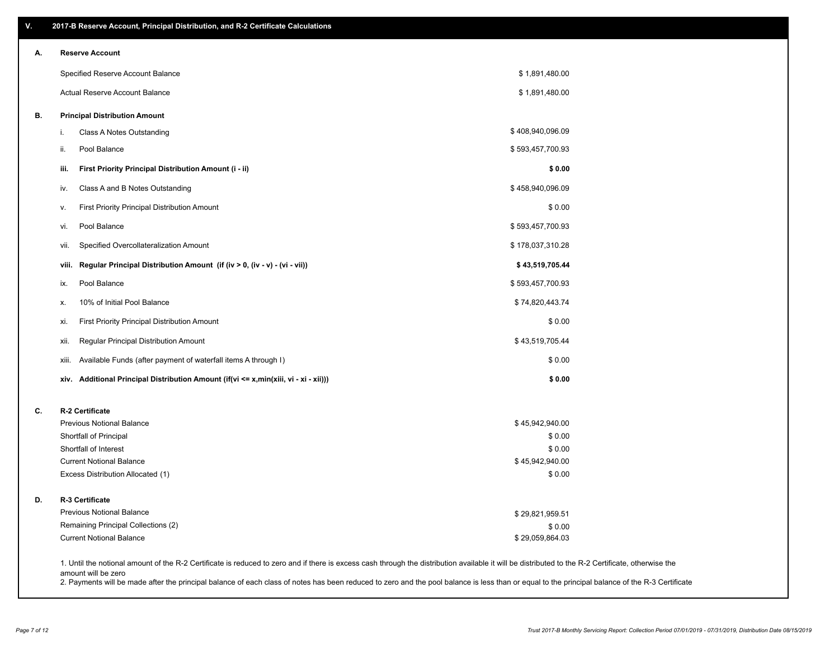| А. | <b>Reserve Account</b>                                                                  |                           |  |
|----|-----------------------------------------------------------------------------------------|---------------------------|--|
|    | Specified Reserve Account Balance                                                       | \$1,891,480.00            |  |
|    | Actual Reserve Account Balance                                                          | \$1,891,480.00            |  |
| В. | <b>Principal Distribution Amount</b>                                                    |                           |  |
|    | Class A Notes Outstanding<br>i.                                                         | \$408,940,096.09          |  |
|    | Pool Balance<br>ii.                                                                     | \$593,457,700.93          |  |
|    | iii.<br>First Priority Principal Distribution Amount (i - ii)                           | \$0.00                    |  |
|    | Class A and B Notes Outstanding<br>iv.                                                  | \$458,940,096.09          |  |
|    | First Priority Principal Distribution Amount<br>۷.                                      | \$0.00                    |  |
|    | Pool Balance<br>vi.                                                                     | \$593,457,700.93          |  |
|    | Specified Overcollateralization Amount<br>vii.                                          | \$178,037,310.28          |  |
|    | Regular Principal Distribution Amount (if (iv > 0, (iv - v) - (vi - vii))<br>viii.      | \$43,519,705.44           |  |
|    | Pool Balance<br>ix.                                                                     | \$593,457,700.93          |  |
|    | 10% of Initial Pool Balance<br>х.                                                       | \$74,820,443.74           |  |
|    | First Priority Principal Distribution Amount<br>xi.                                     | \$0.00                    |  |
|    | Regular Principal Distribution Amount<br>xii.                                           | \$43,519,705.44           |  |
|    | Available Funds (after payment of waterfall items A through I)<br>xiii.                 | \$0.00                    |  |
|    | Additional Principal Distribution Amount (if(vi <= x,min(xiii, vi - xi - xii)))<br>xiv. | \$0.00                    |  |
| C. | <b>R-2 Certificate</b>                                                                  |                           |  |
|    | <b>Previous Notional Balance</b>                                                        | \$45,942,940.00           |  |
|    | Shortfall of Principal                                                                  | \$0.00                    |  |
|    | Shortfall of Interest                                                                   | \$0.00                    |  |
|    | <b>Current Notional Balance</b><br>Excess Distribution Allocated (1)                    | \$45,942,940.00<br>\$0.00 |  |
| D. | R-3 Certificate                                                                         |                           |  |
|    | Previous Notional Balance                                                               | \$29,821,959.51           |  |
|    | Remaining Principal Collections (2)                                                     | \$0.00                    |  |
|    | <b>Current Notional Balance</b>                                                         | \$29,059,864.03           |  |

amount will be zero

2. Payments will be made after the principal balance of each class of notes has been reduced to zero and the pool balance is less than or equal to the principal balance of the R-3 Certificate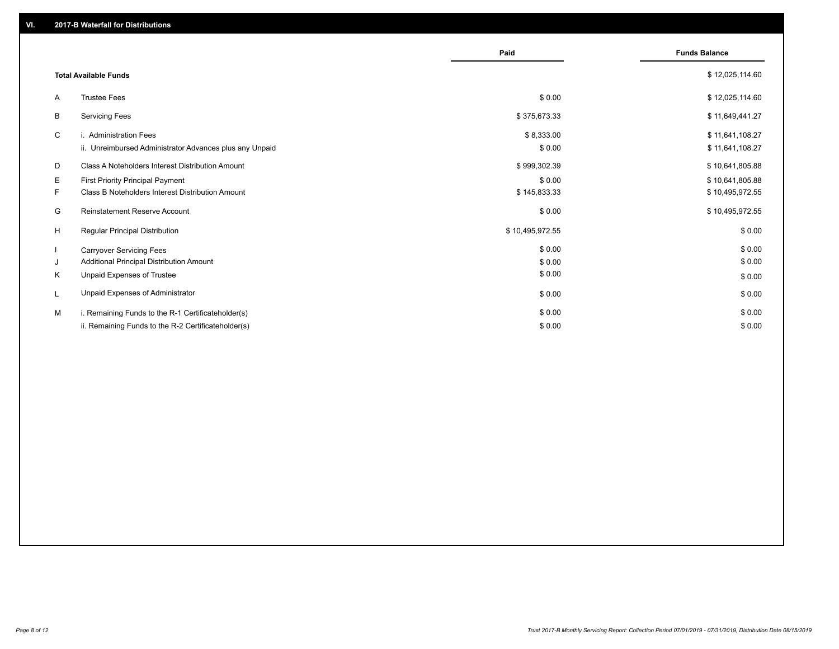|                              |                                                         | Paid            | <b>Funds Balance</b> |
|------------------------------|---------------------------------------------------------|-----------------|----------------------|
| <b>Total Available Funds</b> |                                                         |                 | \$12,025,114.60      |
| A                            | <b>Trustee Fees</b>                                     | \$0.00          | \$12,025,114.60      |
| В                            | <b>Servicing Fees</b>                                   | \$375,673.33    | \$11,649,441.27      |
| C                            | i. Administration Fees                                  | \$8,333.00      | \$11,641,108.27      |
|                              | ii. Unreimbursed Administrator Advances plus any Unpaid | \$0.00          | \$11,641,108.27      |
| D                            | Class A Noteholders Interest Distribution Amount        | \$999,302.39    | \$10,641,805.88      |
| Е.                           | First Priority Principal Payment                        | \$0.00          | \$10,641,805.88      |
| F.                           | Class B Noteholders Interest Distribution Amount        | \$145,833.33    | \$10,495,972.55      |
| G                            | <b>Reinstatement Reserve Account</b>                    | \$0.00          | \$10,495,972.55      |
| H                            | Regular Principal Distribution                          | \$10,495,972.55 | \$0.00               |
|                              | <b>Carryover Servicing Fees</b>                         | \$0.00          | \$0.00               |
| J                            | Additional Principal Distribution Amount                | \$0.00          | \$0.00               |
| Κ                            | Unpaid Expenses of Trustee                              | \$0.00          | \$0.00               |
| L                            | Unpaid Expenses of Administrator                        | \$0.00          | \$0.00               |
| м                            | i. Remaining Funds to the R-1 Certificateholder(s)      | \$0.00          | \$0.00               |
|                              | ii. Remaining Funds to the R-2 Certificateholder(s)     | \$0.00          | \$0.00               |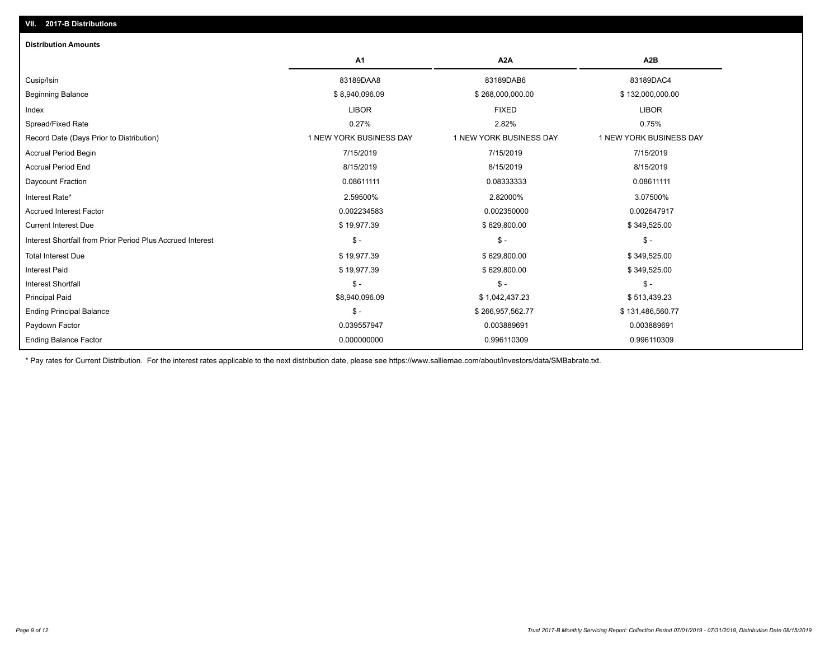| <b>Distribution Amounts</b>                                |                         |                         |                         |
|------------------------------------------------------------|-------------------------|-------------------------|-------------------------|
|                                                            | A <sub>1</sub>          | A <sub>2</sub> A        | A <sub>2</sub> B        |
| Cusip/Isin                                                 | 83189DAA8               | 83189DAB6               | 83189DAC4               |
| <b>Beginning Balance</b>                                   | \$8,940,096.09          | \$268,000,000.00        | \$132,000,000.00        |
| Index                                                      | <b>LIBOR</b>            | <b>FIXED</b>            | <b>LIBOR</b>            |
| Spread/Fixed Rate                                          | 0.27%                   | 2.82%                   | 0.75%                   |
| Record Date (Days Prior to Distribution)                   | 1 NEW YORK BUSINESS DAY | 1 NEW YORK BUSINESS DAY | 1 NEW YORK BUSINESS DAY |
| <b>Accrual Period Begin</b>                                | 7/15/2019               | 7/15/2019               | 7/15/2019               |
| <b>Accrual Period End</b>                                  | 8/15/2019               | 8/15/2019               | 8/15/2019               |
| Daycount Fraction                                          | 0.08611111              | 0.08333333              | 0.08611111              |
| Interest Rate*                                             | 2.59500%                | 2.82000%                | 3.07500%                |
| <b>Accrued Interest Factor</b>                             | 0.002234583             | 0.002350000             | 0.002647917             |
| <b>Current Interest Due</b>                                | \$19,977.39             | \$629,800.00            | \$349,525.00            |
| Interest Shortfall from Prior Period Plus Accrued Interest | $\mathsf{\$}$ -         | $\mathsf{\$}$ -         | $$ -$                   |
| <b>Total Interest Due</b>                                  | \$19,977.39             | \$629,800.00            | \$349,525.00            |
| <b>Interest Paid</b>                                       | \$19,977.39             | \$629,800.00            | \$349,525.00            |
| <b>Interest Shortfall</b>                                  | $$ -$                   | $\mathsf{\$}$ -         | $$ -$                   |
| <b>Principal Paid</b>                                      | \$8,940,096.09          | \$1,042,437.23          | \$513,439.23            |
| <b>Ending Principal Balance</b>                            | $$ -$                   | \$266,957,562.77        | \$131,486,560.77        |
| Paydown Factor                                             | 0.039557947             | 0.003889691             | 0.003889691             |
| <b>Ending Balance Factor</b>                               | 0.000000000             | 0.996110309             | 0.996110309             |

\* Pay rates for Current Distribution. For the interest rates applicable to the next distribution date, please see https://www.salliemae.com/about/investors/data/SMBabrate.txt.

**VII. 2017-B Distributions**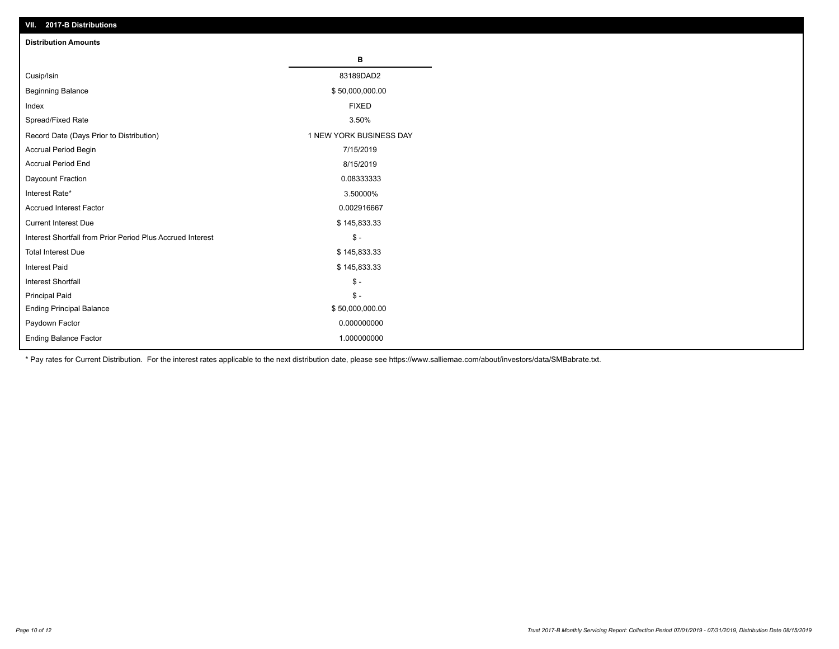| VII. 2017-B Distributions                                  |                         |
|------------------------------------------------------------|-------------------------|
| <b>Distribution Amounts</b>                                |                         |
|                                                            | В                       |
| Cusip/Isin                                                 | 83189DAD2               |
| <b>Beginning Balance</b>                                   | \$50,000,000.00         |
| Index                                                      | <b>FIXED</b>            |
| Spread/Fixed Rate                                          | 3.50%                   |
| Record Date (Days Prior to Distribution)                   | 1 NEW YORK BUSINESS DAY |
| Accrual Period Begin                                       | 7/15/2019               |
| <b>Accrual Period End</b>                                  | 8/15/2019               |
| Daycount Fraction                                          | 0.08333333              |
| Interest Rate*                                             | 3.50000%                |
| <b>Accrued Interest Factor</b>                             | 0.002916667             |
| <b>Current Interest Due</b>                                | \$145,833.33            |
| Interest Shortfall from Prior Period Plus Accrued Interest | $$ -$                   |
| <b>Total Interest Due</b>                                  | \$145,833.33            |
| Interest Paid                                              | \$145,833.33            |
| <b>Interest Shortfall</b>                                  | $$ -$                   |
| <b>Principal Paid</b>                                      | $\frac{1}{2}$           |
| <b>Ending Principal Balance</b>                            | \$50,000,000.00         |
| Paydown Factor                                             | 0.000000000             |
| <b>Ending Balance Factor</b>                               | 1.000000000             |

\* Pay rates for Current Distribution. For the interest rates applicable to the next distribution date, please see https://www.salliemae.com/about/investors/data/SMBabrate.txt.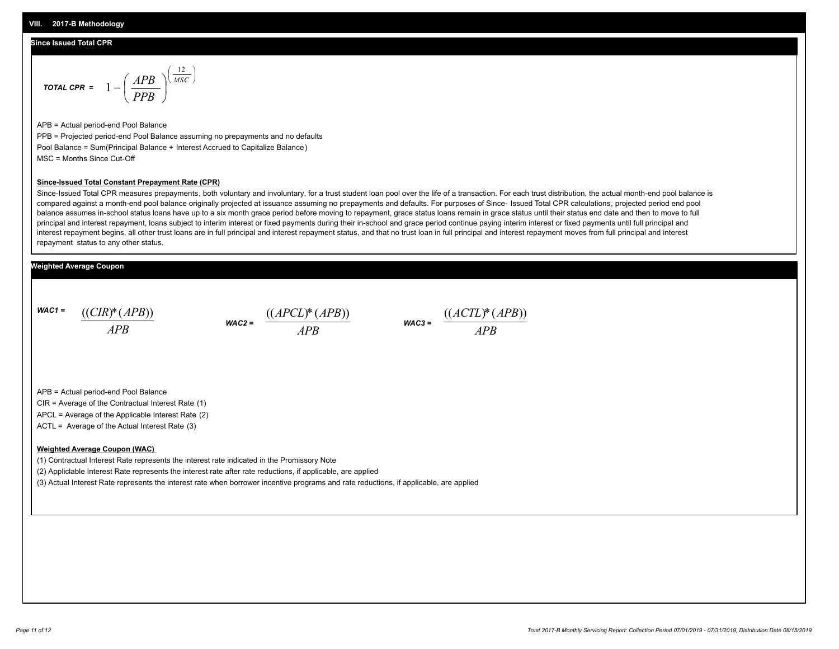#### **Since Issued Total CPR**

$$
\text{total CPR} = 1 - \left(\frac{APB}{PPB}\right)^{\left(\frac{12}{MSC}\right)}
$$

APB = Actual period-end Pool Balance PPB = Projected period-end Pool Balance assuming no prepayments and no defaults Pool Balance = Sum(Principal Balance + Interest Accrued to Capitalize Balance) MSC = Months Since Cut-Off

#### **Since-Issued Total Constant Prepayment Rate (CPR)**

Since-Issued Total CPR measures prepayments, both voluntary and involuntary, for a trust student loan pool over the life of a transaction. For each trust distribution, the actual month-end pool balance is compared against a month-end pool balance originally projected at issuance assuming no prepayments and defaults. For purposes of Since- Issued Total CPR calculations, projected period end pool balance assumes in-school status loans have up to a six month grace period before moving to repayment, grace status loans remain in grace status until their status end date and then to move to full principal and interest repayment, loans subject to interim interest or fixed payments during their in-school and grace period continue paying interim interest or fixed payments until full principal and interest repayment begins, all other trust loans are in full principal and interest repayment status, and that no trust loan in full principal and interest repayment moves from full principal and interest repayment status to any other status.

#### **Weighted Average Coupon**

*WAC1 = APB* ((*CIR*)\*(*APB*))

*WAC2 = APB*  $\frac{((APCL)^{*}(APB))}{APB}$  wac<sub>3</sub> =  $\frac{((ACTL)^{*}(A)P}{APB}$ 



APB = Actual period-end Pool Balance

CIR = Average of the Contractual Interest Rate (1)

APCL = Average of the Applicable Interest Rate (2)

ACTL = Average of the Actual Interest Rate (3)

#### **Weighted Average Coupon (WAC)**

(1) Contractual Interest Rate represents the interest rate indicated in the Promissory Note

(2) Appliclable Interest Rate represents the interest rate after rate reductions, if applicable, are applied

(3) Actual Interest Rate represents the interest rate when borrower incentive programs and rate reductions, if applicable, are applied